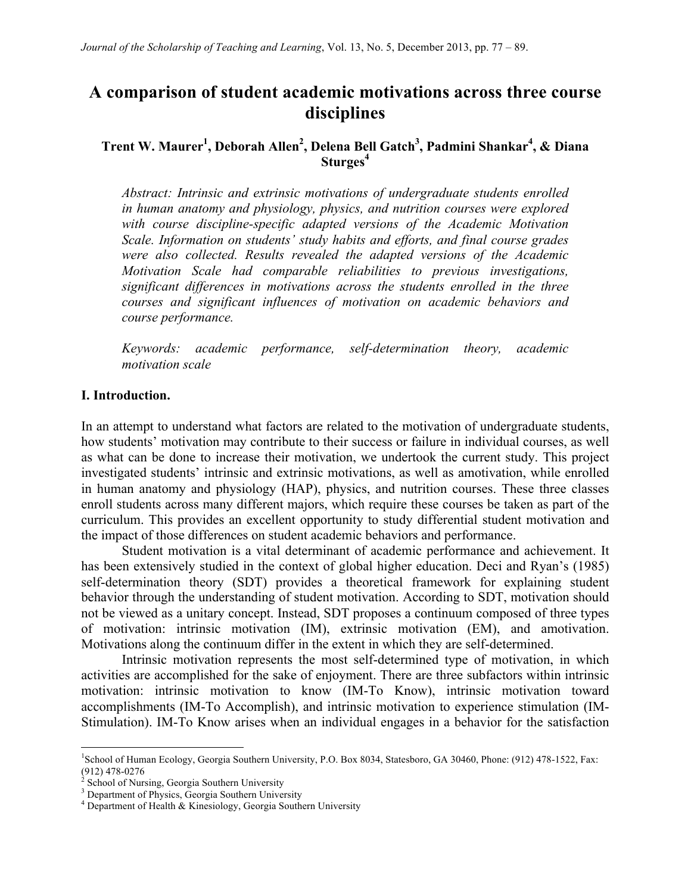# **A comparison of student academic motivations across three course disciplines**

## **Trent W. Maurer1 , Deborah Allen2 , Delena Bell Gatch3 , Padmini Shankar4 , & Diana Sturges<sup>4</sup>**

*Abstract: Intrinsic and extrinsic motivations of undergraduate students enrolled in human anatomy and physiology, physics, and nutrition courses were explored with course discipline-specific adapted versions of the Academic Motivation Scale. Information on students' study habits and efforts, and final course grades were also collected. Results revealed the adapted versions of the Academic Motivation Scale had comparable reliabilities to previous investigations, significant differences in motivations across the students enrolled in the three courses and significant influences of motivation on academic behaviors and course performance.* 

*Keywords: academic performance, self-determination theory, academic motivation scale*

#### **I. Introduction.**

In an attempt to understand what factors are related to the motivation of undergraduate students, how students' motivation may contribute to their success or failure in individual courses, as well as what can be done to increase their motivation, we undertook the current study. This project investigated students' intrinsic and extrinsic motivations, as well as amotivation, while enrolled in human anatomy and physiology (HAP), physics, and nutrition courses. These three classes enroll students across many different majors, which require these courses be taken as part of the curriculum. This provides an excellent opportunity to study differential student motivation and the impact of those differences on student academic behaviors and performance.

Student motivation is a vital determinant of academic performance and achievement. It has been extensively studied in the context of global higher education. Deci and Ryan's (1985) self-determination theory (SDT) provides a theoretical framework for explaining student behavior through the understanding of student motivation. According to SDT, motivation should not be viewed as a unitary concept. Instead, SDT proposes a continuum composed of three types of motivation: intrinsic motivation (IM), extrinsic motivation (EM), and amotivation. Motivations along the continuum differ in the extent in which they are self-determined.

Intrinsic motivation represents the most self-determined type of motivation, in which activities are accomplished for the sake of enjoyment. There are three subfactors within intrinsic motivation: intrinsic motivation to know (IM-To Know), intrinsic motivation toward accomplishments (IM-To Accomplish), and intrinsic motivation to experience stimulation (IM-Stimulation). IM-To Know arises when an individual engages in a behavior for the satisfaction

<sup>|&</sup>lt;br>|<br>| <sup>1</sup>School of Human Ecology, Georgia Southern University, P.O. Box 8034, Statesboro, GA 30460, Phone: (912) 478-1522, Fax: (912) 478-0276<br>
<sup>2</sup> School of Nursing, Georgia Southern University<br>
<sup>3</sup> Department of Physics, Georgia Southern University

 $3$  Department of Health & Kinesiology, Georgia Southern University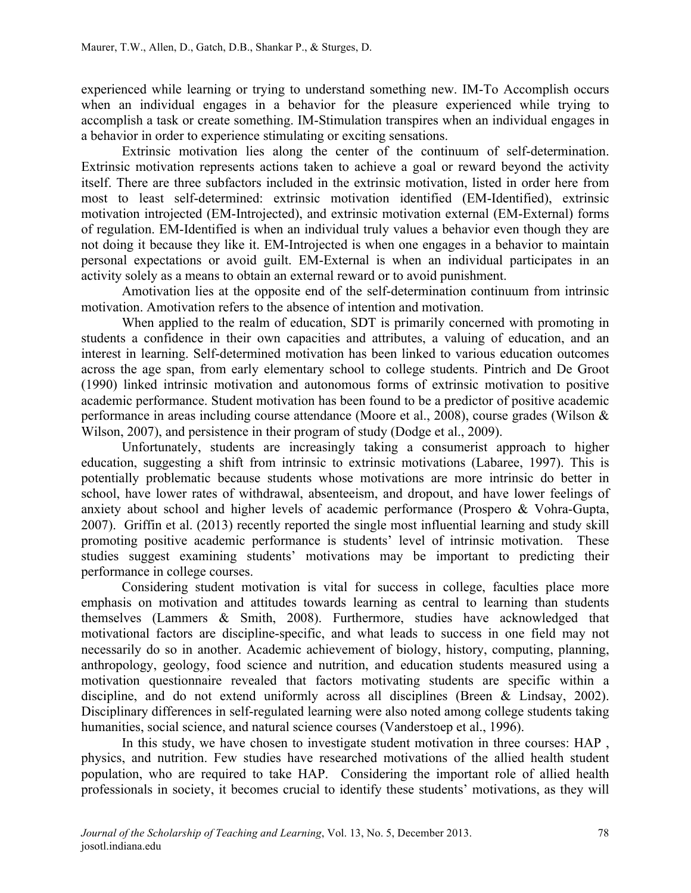experienced while learning or trying to understand something new. IM-To Accomplish occurs when an individual engages in a behavior for the pleasure experienced while trying to accomplish a task or create something. IM-Stimulation transpires when an individual engages in a behavior in order to experience stimulating or exciting sensations.

Extrinsic motivation lies along the center of the continuum of self-determination. Extrinsic motivation represents actions taken to achieve a goal or reward beyond the activity itself. There are three subfactors included in the extrinsic motivation, listed in order here from most to least self-determined: extrinsic motivation identified (EM-Identified), extrinsic motivation introjected (EM-Introjected), and extrinsic motivation external (EM-External) forms of regulation. EM-Identified is when an individual truly values a behavior even though they are not doing it because they like it. EM-Introjected is when one engages in a behavior to maintain personal expectations or avoid guilt. EM-External is when an individual participates in an activity solely as a means to obtain an external reward or to avoid punishment.

Amotivation lies at the opposite end of the self-determination continuum from intrinsic motivation. Amotivation refers to the absence of intention and motivation.

When applied to the realm of education, SDT is primarily concerned with promoting in students a confidence in their own capacities and attributes, a valuing of education, and an interest in learning. Self-determined motivation has been linked to various education outcomes across the age span, from early elementary school to college students. Pintrich and De Groot (1990) linked intrinsic motivation and autonomous forms of extrinsic motivation to positive academic performance. Student motivation has been found to be a predictor of positive academic performance in areas including course attendance (Moore et al., 2008), course grades (Wilson & Wilson, 2007), and persistence in their program of study (Dodge et al., 2009).

Unfortunately, students are increasingly taking a consumerist approach to higher education, suggesting a shift from intrinsic to extrinsic motivations (Labaree, 1997). This is potentially problematic because students whose motivations are more intrinsic do better in school, have lower rates of withdrawal, absenteeism, and dropout, and have lower feelings of anxiety about school and higher levels of academic performance (Prospero & Vohra-Gupta, 2007). Griffin et al. (2013) recently reported the single most influential learning and study skill promoting positive academic performance is students' level of intrinsic motivation. These studies suggest examining students' motivations may be important to predicting their performance in college courses.

Considering student motivation is vital for success in college, faculties place more emphasis on motivation and attitudes towards learning as central to learning than students themselves (Lammers & Smith, 2008). Furthermore, studies have acknowledged that motivational factors are discipline-specific, and what leads to success in one field may not necessarily do so in another. Academic achievement of biology, history, computing, planning, anthropology, geology, food science and nutrition, and education students measured using a motivation questionnaire revealed that factors motivating students are specific within a discipline, and do not extend uniformly across all disciplines (Breen & Lindsay, 2002). Disciplinary differences in self-regulated learning were also noted among college students taking humanities, social science, and natural science courses (Vanderstoep et al., 1996).

In this study, we have chosen to investigate student motivation in three courses: HAP , physics, and nutrition. Few studies have researched motivations of the allied health student population, who are required to take HAP. Considering the important role of allied health professionals in society, it becomes crucial to identify these students' motivations, as they will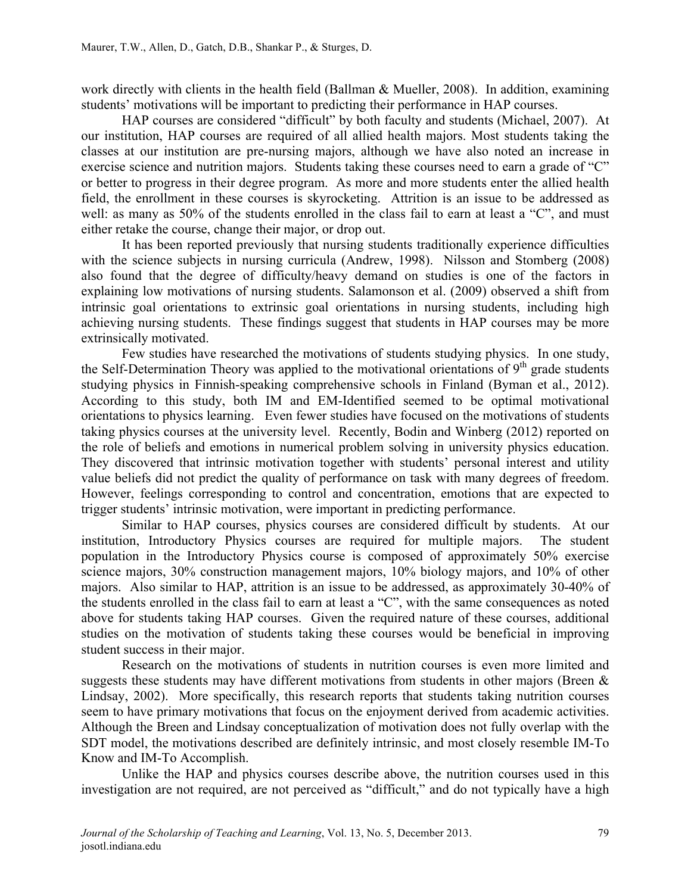work directly with clients in the health field (Ballman & Mueller, 2008). In addition, examining students' motivations will be important to predicting their performance in HAP courses.

HAP courses are considered "difficult" by both faculty and students (Michael, 2007). At our institution, HAP courses are required of all allied health majors. Most students taking the classes at our institution are pre-nursing majors, although we have also noted an increase in exercise science and nutrition majors. Students taking these courses need to earn a grade of "C" or better to progress in their degree program. As more and more students enter the allied health field, the enrollment in these courses is skyrocketing. Attrition is an issue to be addressed as well: as many as 50% of the students enrolled in the class fail to earn at least a "C", and must either retake the course, change their major, or drop out.

It has been reported previously that nursing students traditionally experience difficulties with the science subjects in nursing curricula (Andrew, 1998). Nilsson and Stomberg (2008) also found that the degree of difficulty/heavy demand on studies is one of the factors in explaining low motivations of nursing students. Salamonson et al. (2009) observed a shift from intrinsic goal orientations to extrinsic goal orientations in nursing students, including high achieving nursing students. These findings suggest that students in HAP courses may be more extrinsically motivated.

Few studies have researched the motivations of students studying physics. In one study, the Self-Determination Theory was applied to the motivational orientations of  $9<sup>th</sup>$  grade students studying physics in Finnish-speaking comprehensive schools in Finland (Byman et al., 2012). According to this study, both IM and EM-Identified seemed to be optimal motivational orientations to physics learning. Even fewer studies have focused on the motivations of students taking physics courses at the university level. Recently, Bodin and Winberg (2012) reported on the role of beliefs and emotions in numerical problem solving in university physics education. They discovered that intrinsic motivation together with students' personal interest and utility value beliefs did not predict the quality of performance on task with many degrees of freedom. However, feelings corresponding to control and concentration, emotions that are expected to trigger students' intrinsic motivation, were important in predicting performance.

Similar to HAP courses, physics courses are considered difficult by students. At our institution, Introductory Physics courses are required for multiple majors. The student population in the Introductory Physics course is composed of approximately 50% exercise science majors, 30% construction management majors, 10% biology majors, and 10% of other majors. Also similar to HAP, attrition is an issue to be addressed, as approximately 30-40% of the students enrolled in the class fail to earn at least a "C", with the same consequences as noted above for students taking HAP courses. Given the required nature of these courses, additional studies on the motivation of students taking these courses would be beneficial in improving student success in their major.

Research on the motivations of students in nutrition courses is even more limited and suggests these students may have different motivations from students in other majors (Breen  $\&$ Lindsay, 2002). More specifically, this research reports that students taking nutrition courses seem to have primary motivations that focus on the enjoyment derived from academic activities. Although the Breen and Lindsay conceptualization of motivation does not fully overlap with the SDT model, the motivations described are definitely intrinsic, and most closely resemble IM-To Know and IM-To Accomplish.

Unlike the HAP and physics courses describe above, the nutrition courses used in this investigation are not required, are not perceived as "difficult," and do not typically have a high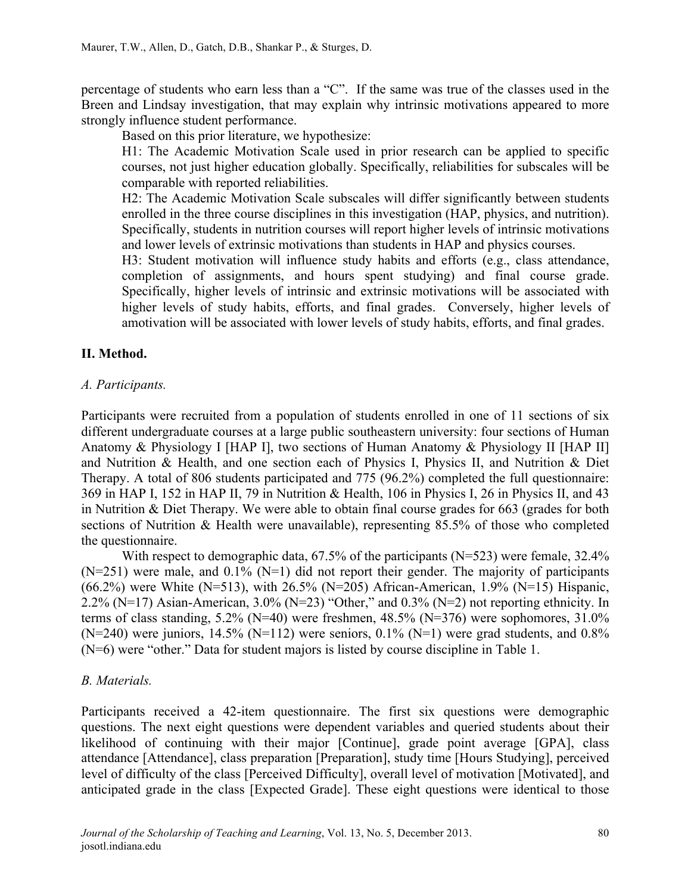percentage of students who earn less than a "C". If the same was true of the classes used in the Breen and Lindsay investigation, that may explain why intrinsic motivations appeared to more strongly influence student performance.

Based on this prior literature, we hypothesize:

H1: The Academic Motivation Scale used in prior research can be applied to specific courses, not just higher education globally. Specifically, reliabilities for subscales will be comparable with reported reliabilities.

H2: The Academic Motivation Scale subscales will differ significantly between students enrolled in the three course disciplines in this investigation (HAP, physics, and nutrition). Specifically, students in nutrition courses will report higher levels of intrinsic motivations and lower levels of extrinsic motivations than students in HAP and physics courses.

H3: Student motivation will influence study habits and efforts (e.g., class attendance, completion of assignments, and hours spent studying) and final course grade. Specifically, higher levels of intrinsic and extrinsic motivations will be associated with higher levels of study habits, efforts, and final grades. Conversely, higher levels of amotivation will be associated with lower levels of study habits, efforts, and final grades.

## **II. Method.**

## *A. Participants.*

Participants were recruited from a population of students enrolled in one of 11 sections of six different undergraduate courses at a large public southeastern university: four sections of Human Anatomy & Physiology I [HAP I], two sections of Human Anatomy & Physiology II [HAP II] and Nutrition & Health, and one section each of Physics I, Physics II, and Nutrition & Diet Therapy. A total of 806 students participated and 775 (96.2%) completed the full questionnaire: 369 in HAP I, 152 in HAP II, 79 in Nutrition & Health, 106 in Physics I, 26 in Physics II, and 43 in Nutrition & Diet Therapy. We were able to obtain final course grades for 663 (grades for both sections of Nutrition & Health were unavailable), representing 85.5% of those who completed the questionnaire.

With respect to demographic data, 67.5% of the participants (N=523) were female, 32.4%  $(N=251)$  were male, and  $0.1\%$  (N=1) did not report their gender. The majority of participants (66.2%) were White (N=513), with 26.5% (N=205) African-American, 1.9% (N=15) Hispanic, 2.2% (N=17) Asian-American, 3.0% (N=23) "Other," and 0.3% (N=2) not reporting ethnicity. In terms of class standing,  $5.2\%$  (N=40) were freshmen,  $48.5\%$  (N=376) were sophomores,  $31.0\%$ (N=240) were juniors, 14.5% (N=112) were seniors,  $0.1\%$  (N=1) were grad students, and  $0.8\%$ (N=6) were "other." Data for student majors is listed by course discipline in Table 1.

## *B. Materials.*

Participants received a 42-item questionnaire. The first six questions were demographic questions. The next eight questions were dependent variables and queried students about their likelihood of continuing with their major [Continue], grade point average [GPA], class attendance [Attendance], class preparation [Preparation], study time [Hours Studying], perceived level of difficulty of the class [Perceived Difficulty], overall level of motivation [Motivated], and anticipated grade in the class [Expected Grade]. These eight questions were identical to those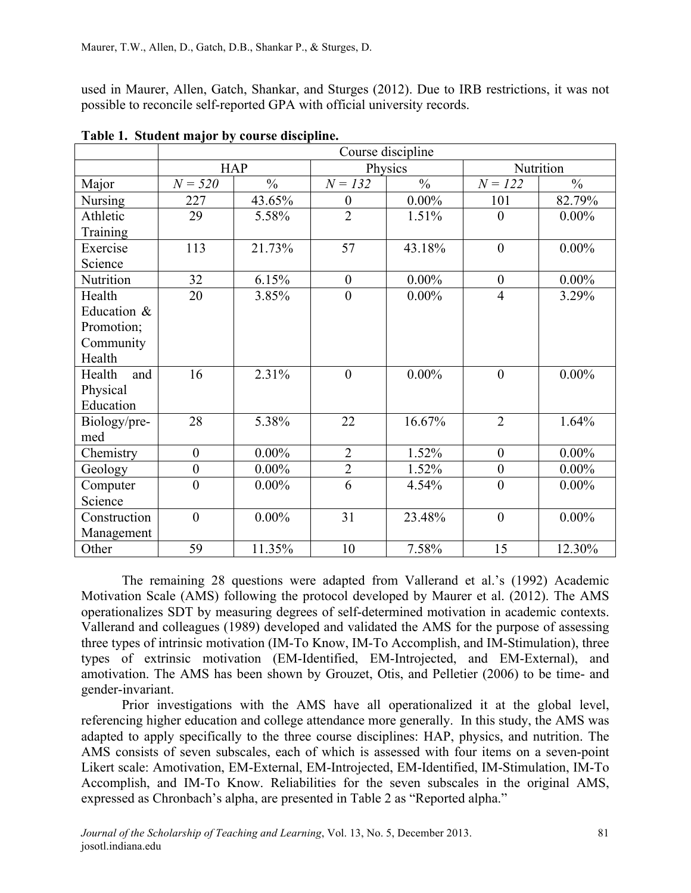used in Maurer, Allen, Gatch, Shankar, and Sturges (2012). Due to IRB restrictions, it was not possible to reconcile self-reported GPA with official university records.

|                | Course discipline |               |                  |               |                  |               |  |
|----------------|-------------------|---------------|------------------|---------------|------------------|---------------|--|
|                | <b>HAP</b>        |               |                  | Physics       | Nutrition        |               |  |
| Major          | $N = 520$         | $\frac{0}{0}$ | $N = 132$        | $\frac{0}{0}$ | $N = 122$        | $\frac{0}{0}$ |  |
| <b>Nursing</b> | 227               | 43.65%        | $\boldsymbol{0}$ | $0.00\%$      | 101              | 82.79%        |  |
| Athletic       | 29                | 5.58%         | $\overline{2}$   | 1.51%         | $\theta$         | $0.00\%$      |  |
| Training       |                   |               |                  |               |                  |               |  |
| Exercise       | 113               | 21.73%        | 57               | 43.18%        | $\overline{0}$   | $0.00\%$      |  |
| Science        |                   |               |                  |               |                  |               |  |
| Nutrition      | 32                | 6.15%         | $\boldsymbol{0}$ | $0.00\%$      | $\mathbf{0}$     | $0.00\%$      |  |
| Health         | 20                | 3.85%         | $\overline{0}$   | $0.00\%$      | $\overline{4}$   | 3.29%         |  |
| Education &    |                   |               |                  |               |                  |               |  |
| Promotion;     |                   |               |                  |               |                  |               |  |
| Community      |                   |               |                  |               |                  |               |  |
| Health         |                   |               |                  |               |                  |               |  |
| Health<br>and  | 16                | 2.31%         | $\mathbf{0}$     | $0.00\%$      | $\overline{0}$   | $0.00\%$      |  |
| Physical       |                   |               |                  |               |                  |               |  |
| Education      |                   |               |                  |               |                  |               |  |
| Biology/pre-   | 28                | 5.38%         | 22               | 16.67%        | $\overline{2}$   | 1.64%         |  |
| med            |                   |               |                  |               |                  |               |  |
| Chemistry      | $\boldsymbol{0}$  | $0.00\%$      | $\overline{2}$   | 1.52%         | $\mathbf{0}$     | $0.00\%$      |  |
| Geology        | $\boldsymbol{0}$  | $0.00\%$      | $\overline{c}$   | 1.52%         | $\boldsymbol{0}$ | $0.00\%$      |  |
| Computer       | $\overline{0}$    | $0.00\%$      | 6                | 4.54%         | $\mathbf{0}$     | $0.00\%$      |  |
| Science        |                   |               |                  |               |                  |               |  |
| Construction   | $\boldsymbol{0}$  | $0.00\%$      | 31               | 23.48%        | $\boldsymbol{0}$ | $0.00\%$      |  |
| Management     |                   |               |                  |               |                  |               |  |
| Other          | 59                | 11.35%        | 10               | 7.58%         | 15               | 12.30%        |  |

**Table 1. Student major by course discipline.**

The remaining 28 questions were adapted from Vallerand et al.'s (1992) Academic Motivation Scale (AMS) following the protocol developed by Maurer et al. (2012). The AMS operationalizes SDT by measuring degrees of self-determined motivation in academic contexts. Vallerand and colleagues (1989) developed and validated the AMS for the purpose of assessing three types of intrinsic motivation (IM-To Know, IM-To Accomplish, and IM-Stimulation), three types of extrinsic motivation (EM-Identified, EM-Introjected, and EM-External), and amotivation. The AMS has been shown by Grouzet, Otis, and Pelletier (2006) to be time- and gender-invariant.

Prior investigations with the AMS have all operationalized it at the global level, referencing higher education and college attendance more generally. In this study, the AMS was adapted to apply specifically to the three course disciplines: HAP, physics, and nutrition. The AMS consists of seven subscales, each of which is assessed with four items on a seven-point Likert scale: Amotivation, EM-External, EM-Introjected, EM-Identified, IM-Stimulation, IM-To Accomplish, and IM-To Know. Reliabilities for the seven subscales in the original AMS, expressed as Chronbach's alpha, are presented in Table 2 as "Reported alpha."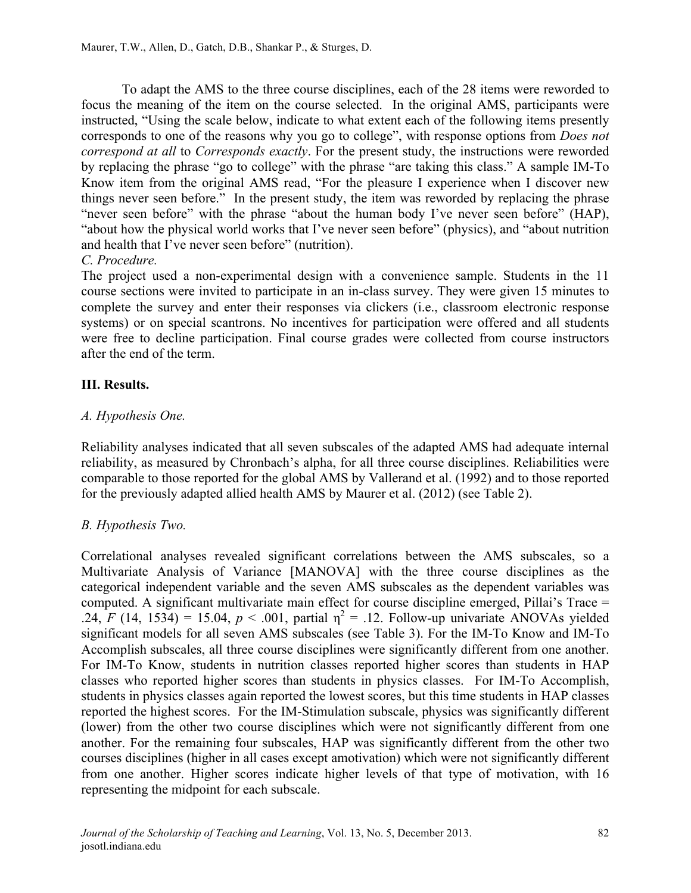To adapt the AMS to the three course disciplines, each of the 28 items were reworded to focus the meaning of the item on the course selected. In the original AMS, participants were instructed, "Using the scale below, indicate to what extent each of the following items presently corresponds to one of the reasons why you go to college", with response options from *Does not correspond at all* to *Corresponds exactly*. For the present study, the instructions were reworded by replacing the phrase "go to college" with the phrase "are taking this class." A sample IM-To Know item from the original AMS read, "For the pleasure I experience when I discover new things never seen before." In the present study, the item was reworded by replacing the phrase "never seen before" with the phrase "about the human body I've never seen before" (HAP), "about how the physical world works that I've never seen before" (physics), and "about nutrition and health that I've never seen before" (nutrition).

## *C. Procedure.*

The project used a non-experimental design with a convenience sample. Students in the 11 course sections were invited to participate in an in-class survey. They were given 15 minutes to complete the survey and enter their responses via clickers (i.e., classroom electronic response systems) or on special scantrons. No incentives for participation were offered and all students were free to decline participation. Final course grades were collected from course instructors after the end of the term.

## **III. Results.**

## *A. Hypothesis One.*

Reliability analyses indicated that all seven subscales of the adapted AMS had adequate internal reliability, as measured by Chronbach's alpha, for all three course disciplines. Reliabilities were comparable to those reported for the global AMS by Vallerand et al. (1992) and to those reported for the previously adapted allied health AMS by Maurer et al. (2012) (see Table 2).

## *B. Hypothesis Two.*

Correlational analyses revealed significant correlations between the AMS subscales, so a Multivariate Analysis of Variance [MANOVA] with the three course disciplines as the categorical independent variable and the seven AMS subscales as the dependent variables was computed. A significant multivariate main effect for course discipline emerged, Pillai's Trace = .24, *F* (14, 1534) = 15.04,  $p < .001$ , partial  $\eta^2 = .12$ . Follow-up univariate ANOVAs yielded significant models for all seven AMS subscales (see Table 3). For the IM-To Know and IM-To Accomplish subscales, all three course disciplines were significantly different from one another. For IM-To Know, students in nutrition classes reported higher scores than students in HAP classes who reported higher scores than students in physics classes. For IM-To Accomplish, students in physics classes again reported the lowest scores, but this time students in HAP classes reported the highest scores. For the IM-Stimulation subscale, physics was significantly different (lower) from the other two course disciplines which were not significantly different from one another. For the remaining four subscales, HAP was significantly different from the other two courses disciplines (higher in all cases except amotivation) which were not significantly different from one another. Higher scores indicate higher levels of that type of motivation, with 16 representing the midpoint for each subscale.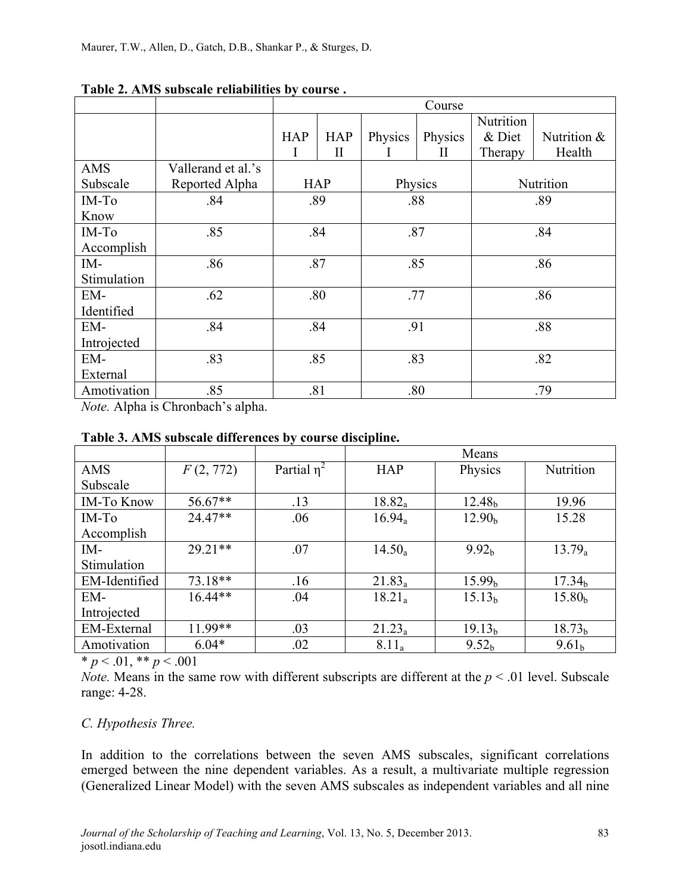|             |                    | Course     |              |         |         |                  |             |  |
|-------------|--------------------|------------|--------------|---------|---------|------------------|-------------|--|
|             |                    |            |              |         |         | Nutrition        |             |  |
|             |                    | <b>HAP</b> | <b>HAP</b>   | Physics | Physics | & Diet           | Nutrition & |  |
|             |                    | I          | $\mathbf{I}$ | -1      | П       | Therapy          | Health      |  |
| <b>AMS</b>  | Vallerand et al.'s |            |              |         |         |                  |             |  |
| Subscale    | Reported Alpha     | <b>HAP</b> |              | Physics |         | <b>Nutrition</b> |             |  |
| IM-To       | .84                | .89        |              | .88     |         | .89              |             |  |
| Know        |                    |            |              |         |         |                  |             |  |
| IM-To       | .85                | .84        |              | .87     |         | .84              |             |  |
| Accomplish  |                    |            |              |         |         |                  |             |  |
| IM-         | .86                | .87        |              | .85     |         | .86              |             |  |
| Stimulation |                    |            |              |         |         |                  |             |  |
| EM-         | .62                | .80        |              | .77     |         | .86              |             |  |
| Identified  |                    |            |              |         |         |                  |             |  |
| EM-         | .84                | .84        |              | .91     |         | .88              |             |  |
| Introjected |                    |            |              |         |         |                  |             |  |
| EM-         | .83                |            | .85          |         | .83     |                  | .82         |  |
| External    |                    |            |              |         |         |                  |             |  |
| Amotivation | .85                | .81        |              | .80     |         | .79              |             |  |

## **Table 2. AMS subscale reliabilities by course .**

*Note.* Alpha is Chronbach's alpha.

#### Means AMS Subscale *F* (2, 772) Partial  $\eta^2$ HAP Physics Nutrition IM-To Know  $\vert$  56.67\*\*  $\vert$  13 18.82<sub>a</sub> 12.48<sub>b</sub> 19.96 IM-To Accomplish 24.47\*\*  $.06$  16.94<sub>a</sub> 12.90<sub>b</sub> 15.28 IM-Stimulation 29.21\*\*  $.07$   $14.50_a$   $9.92_b$   $13.79_a$ EM-Identified 73.18\*\* 1.16 121.83<sub>a</sub> 15.99<sub>b</sub> 17.34<sub>b</sub> EM-Introjected  $16.44***$  .04 18.21<sub>a</sub> 15.13<sub>b</sub> 15.80<sub>b</sub> EM-External 11.99\*\* ...  $03 \t 21.23a \t 19.13b \t 18.73b$ Amotivation 6.04\* 0.02 8.11<sub>a</sub> 9.52<sub>b</sub> 9.61<sub>b</sub>

#### **Table 3. AMS subscale differences by course discipline.**

 $* p < 0.01, ** p < 0.001$ 

*Note.* Means in the same row with different subscripts are different at the  $p < .01$  level. Subscale range: 4-28.

## *C. Hypothesis Three.*

In addition to the correlations between the seven AMS subscales, significant correlations emerged between the nine dependent variables. As a result, a multivariate multiple regression (Generalized Linear Model) with the seven AMS subscales as independent variables and all nine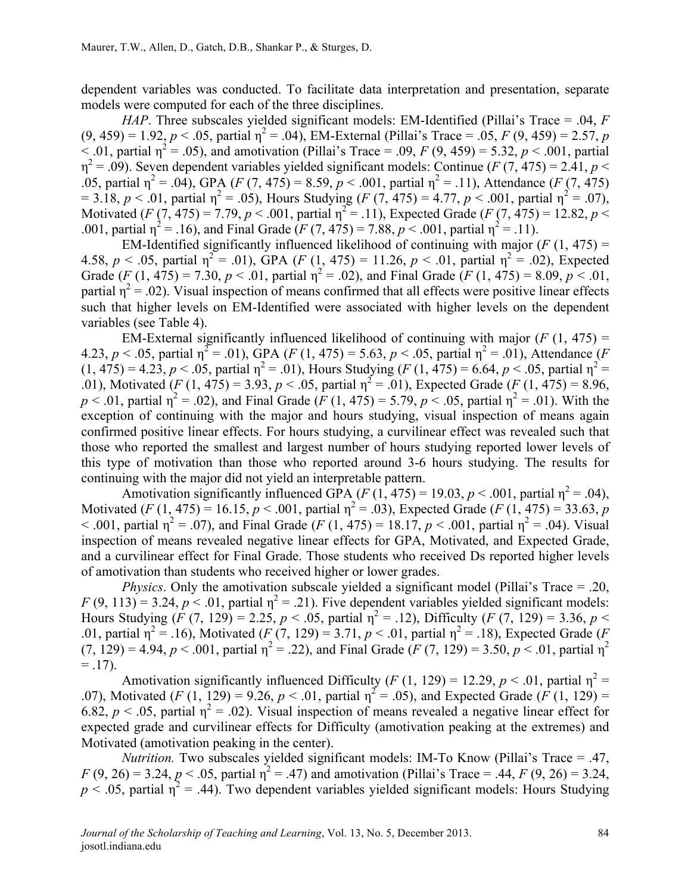dependent variables was conducted. To facilitate data interpretation and presentation, separate models were computed for each of the three disciplines.

*HAP*. Three subscales yielded significant models: EM-Identified (Pillai's Trace = .04, *F*  $(9, 459) = 1.92, p < .05$ , partial  $\eta^2 = .04$ ), EM-External (Pillai's Trace = .05, *F* (9, 459) = 2.57, *p*  $<$  .01, partial  $\eta^2$  = .05), and amotivation (Pillai's Trace = .09, *F* (9, 459) = 5.32, *p* < .001, partial  $\eta^2 = .09$ ). Seven dependent variables yielded significant models: Continue (*F* (7, 475) = 2.41, *p* < .05, partial  $\eta^2 = .04$ ), GPA (*F* (7, 475) = 8.59, *p* < .001, partial  $\eta^2 = .11$ ), Attendance (*F* (7, 475)  $= 3.18, p < .01$ , partial  $\eta^2 = .05$ ), Hours Studying (*F* (7, 475) = 4.77,  $p < .001$ , partial  $\eta^2 = .07$ ), Motivated (*F* (7, 475) = 7.79,  $p < .001$ , partial  $\eta^2 = .11$ ), Expected Grade (*F* (7, 475) = 12.82,  $p <$ .001, partial  $\eta^2 = .16$ ), and Final Grade (*F* (7, 475) = 7.88, *p* < .001, partial  $\eta^2 = .11$ ).

EM-Identified significantly influenced likelihood of continuing with major  $(F(1, 475))$ 4.58,  $p < .05$ , partial  $\eta^2 = .01$ ), GPA (*F* (1, 475) = 11.26,  $p < .01$ , partial  $\eta^2 = .02$ ), Expected Grade  $(F (1, 475) = 7.30, p < .01,$  partial  $\eta^2 = .02$ ), and Final Grade  $(F (1, 475) = 8.09, p < .01,$ partial  $\eta^2 = 0.02$ ). Visual inspection of means confirmed that all effects were positive linear effects such that higher levels on EM-Identified were associated with higher levels on the dependent variables (see Table 4).

EM-External significantly influenced likelihood of continuing with major  $(F (1, 475) =$ 4.23,  $p < .05$ , partial  $\eta^2 = .01$ ), GPA (*F* (1, 475) = 5.63,  $p < .05$ , partial  $\eta^2 = .01$ ), Attendance (*F*  $(1, 475) = 4.23, p < .05$ , partial  $\eta^2 = .01$ ), Hours Studying (*F* (1, 475) = 6.64, *p* < .05, partial  $\eta^2 =$ .01), Motivated  $(F (1, 475) = 3.93, p < .05$ , partial  $p^2 = .01$ ), Expected Grade  $(F (1, 475) = 8.96,$  $p < .01$ , partial  $\eta^2 = .02$ ), and Final Grade (*F* (1, 475) = 5.79,  $p < .05$ , partial  $\eta^2 = .01$ ). With the exception of continuing with the major and hours studying, visual inspection of means again confirmed positive linear effects. For hours studying, a curvilinear effect was revealed such that those who reported the smallest and largest number of hours studying reported lower levels of this type of motivation than those who reported around 3-6 hours studying. The results for continuing with the major did not yield an interpretable pattern.

Amotivation significantly influenced GPA  $(F(1, 475) = 19.03, p < .001$ , partial  $\eta^2 = .04$ ), Motivated  $(F (1, 475) = 16.15, p < .001,$  partial  $\eta^2 = .03$ ), Expected Grade  $(F (1, 475) = 33.63, p$ < .001, partial  $η^2 = .07$ ), and Final Grade (*F* (1, 475) = 18.17, *p* < .001, partial  $η^2 = .04$ ). Visual inspection of means revealed negative linear effects for GPA, Motivated, and Expected Grade, and a curvilinear effect for Final Grade. Those students who received Ds reported higher levels of amotivation than students who received higher or lower grades.

*Physics*. Only the amotivation subscale yielded a significant model (Pillai's Trace = .20,  $F(9, 113) = 3.24, p < .01$ , partial  $\eta^2 = .21$ ). Five dependent variables yielded significant models: Hours Studying  $(F (7, 129) = 2.25, p < .05$ , partial  $\eta^2 = .12$ ), Difficulty  $(F (7, 129) = 3.36, p < .05$ .01, partial  $\eta^2 = .16$ ), Motivated (*F* (7, 129) = 3.71, *p* < .01, partial  $\eta^2 = .18$ ), Expected Grade (*F*  $(7, 129) = 4.94, p < .001$ , partial  $\eta^2 = .22$ ), and Final Grade (*F* (7, 129) = 3.50,  $p < .01$ , partial  $\eta^2$  $= .17$ ).

Amotivation significantly influenced Difficulty (*F* (1, 129) = 12.29, *p* < .01, partial  $\eta^2$  = .07), Motivated (*F* (1, 129) = 9.26,  $p < .01$ , partial  $\eta^2 = .05$ ), and Expected Grade (*F* (1, 129) = 6.82,  $p < .05$ , partial  $\eta^2 = .02$ ). Visual inspection of means revealed a negative linear effect for expected grade and curvilinear effects for Difficulty (amotivation peaking at the extremes) and Motivated (amotivation peaking in the center).

*Nutrition.* Two subscales yielded significant models: IM-To Know (Pillai's Trace = .47, *F* (9, 26) = 3.24, *p* < .05, partial  $\eta^2$  = .47) and amotivation (Pillai's Trace = .44, *F* (9, 26) = 3.24,  $p < .05$ , partial  $\eta^2 = .44$ ). Two dependent variables yielded significant models: Hours Studying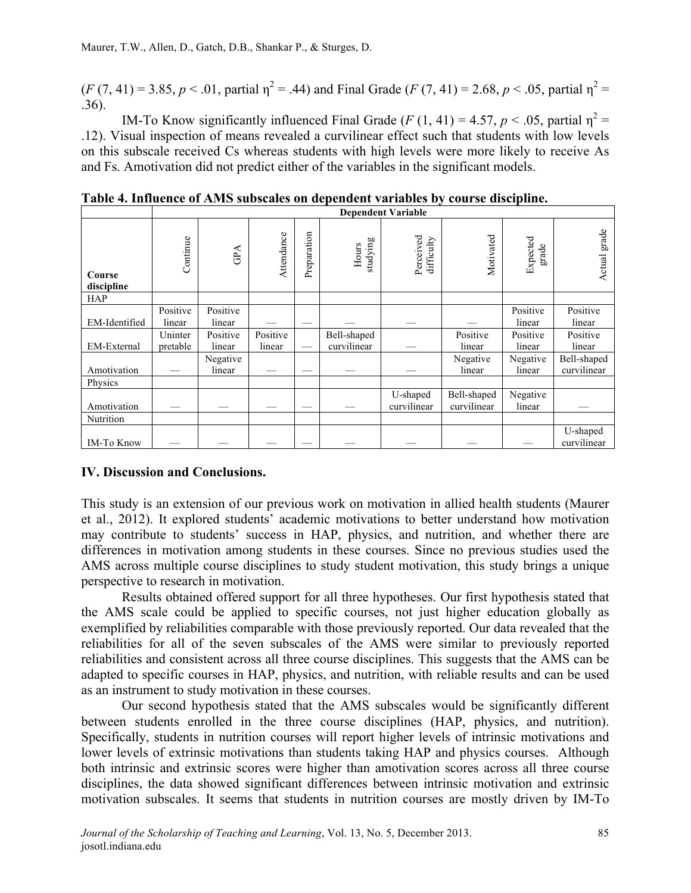$(F (7, 41) = 3.85, p < .01,$  partial  $p^2 = .44$ ) and Final Grade  $(F (7, 41) = 2.68, p < .05,$  partial  $p^2 =$ .36).

IM-To Know significantly influenced Final Grade (*F* (1, 41) = 4.57,  $p < .05$ , partial  $\eta^2$  = .12). Visual inspection of means revealed a curvilinear effect such that students with low levels on this subscale received Cs whereas students with high levels were more likely to receive As and Fs. Amotivation did not predict either of the variables in the significant models.

|                         | <b>Dependent Variable</b> |                    |                    |             |                            |                         |                            |                    |                            |
|-------------------------|---------------------------|--------------------|--------------------|-------------|----------------------------|-------------------------|----------------------------|--------------------|----------------------------|
| Course<br>discipline    | Continue                  | GPA                | Attendance         | Preparation | studying<br>Hours          | Perceived<br>difficulty | Motivated                  | Expected<br>grade  | grade<br>Actual            |
| HAP                     |                           |                    |                    |             |                            |                         |                            |                    |                            |
| EM-Identified           | Positive<br>linear        | Positive<br>linear |                    |             |                            |                         |                            | Positive<br>linear | Positive<br>linear         |
| EM-External             | Uninter<br>pretable       | Positive<br>linear | Positive<br>linear |             | Bell-shaped<br>curvilinear |                         | Positive<br>linear         | Positive<br>linear | Positive<br>linear         |
| Amotivation             |                           | Negative<br>linear |                    |             |                            |                         | Negative<br>linear         | Negative<br>linear | Bell-shaped<br>curvilinear |
| Physics                 |                           |                    |                    |             |                            |                         |                            |                    |                            |
| Amotivation             |                           |                    |                    |             |                            | U-shaped<br>curvilinear | Bell-shaped<br>curvilinear | Negative<br>linear |                            |
| Nutrition<br>IM-To Know |                           |                    |                    |             |                            |                         |                            |                    | U-shaped<br>curvilinear    |

**Table 4. Influence of AMS subscales on dependent variables by course discipline.**

## **IV. Discussion and Conclusions.**

This study is an extension of our previous work on motivation in allied health students (Maurer et al., 2012). It explored students' academic motivations to better understand how motivation may contribute to students' success in HAP, physics, and nutrition, and whether there are differences in motivation among students in these courses. Since no previous studies used the AMS across multiple course disciplines to study student motivation, this study brings a unique perspective to research in motivation.

Results obtained offered support for all three hypotheses. Our first hypothesis stated that the AMS scale could be applied to specific courses, not just higher education globally as exemplified by reliabilities comparable with those previously reported. Our data revealed that the reliabilities for all of the seven subscales of the AMS were similar to previously reported reliabilities and consistent across all three course disciplines. This suggests that the AMS can be adapted to specific courses in HAP, physics, and nutrition, with reliable results and can be used as an instrument to study motivation in these courses.

Our second hypothesis stated that the AMS subscales would be significantly different between students enrolled in the three course disciplines (HAP, physics, and nutrition). Specifically, students in nutrition courses will report higher levels of intrinsic motivations and lower levels of extrinsic motivations than students taking HAP and physics courses. Although both intrinsic and extrinsic scores were higher than amotivation scores across all three course disciplines, the data showed significant differences between intrinsic motivation and extrinsic motivation subscales. It seems that students in nutrition courses are mostly driven by IM-To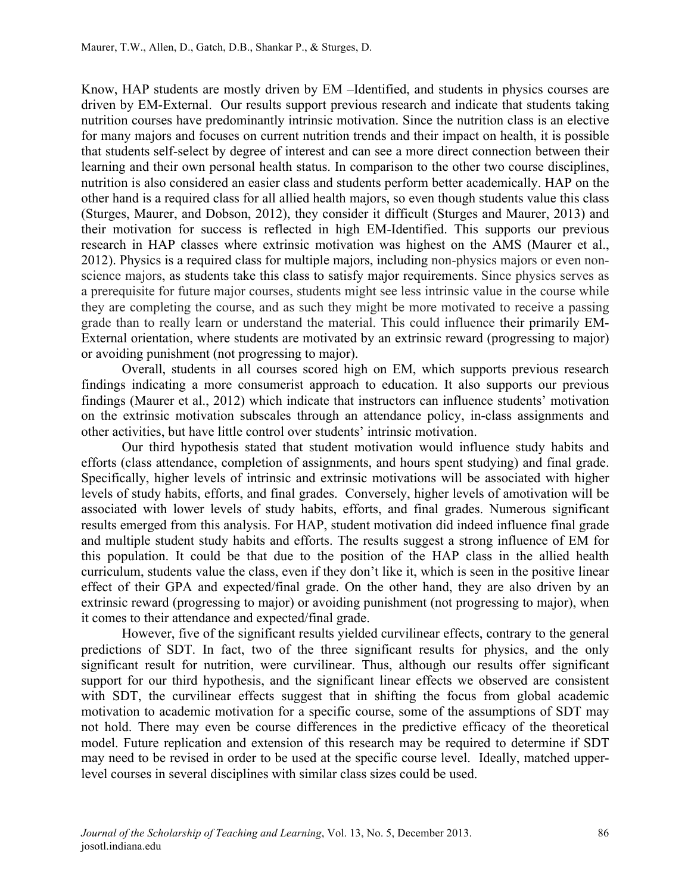Know, HAP students are mostly driven by EM –Identified, and students in physics courses are driven by EM-External. Our results support previous research and indicate that students taking nutrition courses have predominantly intrinsic motivation. Since the nutrition class is an elective for many majors and focuses on current nutrition trends and their impact on health, it is possible that students self-select by degree of interest and can see a more direct connection between their learning and their own personal health status. In comparison to the other two course disciplines, nutrition is also considered an easier class and students perform better academically. HAP on the other hand is a required class for all allied health majors, so even though students value this class (Sturges, Maurer, and Dobson, 2012), they consider it difficult (Sturges and Maurer, 2013) and their motivation for success is reflected in high EM-Identified. This supports our previous research in HAP classes where extrinsic motivation was highest on the AMS (Maurer et al., 2012). Physics is a required class for multiple majors, including non-physics majors or even nonscience majors, as students take this class to satisfy major requirements. Since physics serves as a prerequisite for future major courses, students might see less intrinsic value in the course while they are completing the course, and as such they might be more motivated to receive a passing grade than to really learn or understand the material. This could influence their primarily EM-External orientation, where students are motivated by an extrinsic reward (progressing to major) or avoiding punishment (not progressing to major).

Overall, students in all courses scored high on EM, which supports previous research findings indicating a more consumerist approach to education. It also supports our previous findings (Maurer et al., 2012) which indicate that instructors can influence students' motivation on the extrinsic motivation subscales through an attendance policy, in-class assignments and other activities, but have little control over students' intrinsic motivation.

Our third hypothesis stated that student motivation would influence study habits and efforts (class attendance, completion of assignments, and hours spent studying) and final grade. Specifically, higher levels of intrinsic and extrinsic motivations will be associated with higher levels of study habits, efforts, and final grades. Conversely, higher levels of amotivation will be associated with lower levels of study habits, efforts, and final grades. Numerous significant results emerged from this analysis. For HAP, student motivation did indeed influence final grade and multiple student study habits and efforts. The results suggest a strong influence of EM for this population. It could be that due to the position of the HAP class in the allied health curriculum, students value the class, even if they don't like it, which is seen in the positive linear effect of their GPA and expected/final grade. On the other hand, they are also driven by an extrinsic reward (progressing to major) or avoiding punishment (not progressing to major), when it comes to their attendance and expected/final grade.

However, five of the significant results yielded curvilinear effects, contrary to the general predictions of SDT. In fact, two of the three significant results for physics, and the only significant result for nutrition, were curvilinear. Thus, although our results offer significant support for our third hypothesis, and the significant linear effects we observed are consistent with SDT, the curvilinear effects suggest that in shifting the focus from global academic motivation to academic motivation for a specific course, some of the assumptions of SDT may not hold. There may even be course differences in the predictive efficacy of the theoretical model. Future replication and extension of this research may be required to determine if SDT may need to be revised in order to be used at the specific course level. Ideally, matched upperlevel courses in several disciplines with similar class sizes could be used.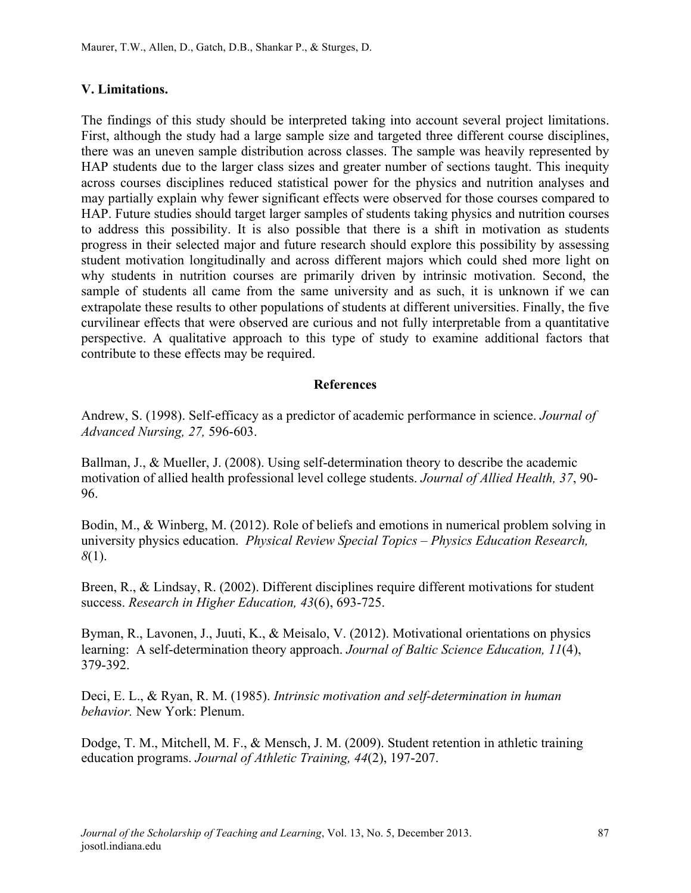## **V. Limitations.**

The findings of this study should be interpreted taking into account several project limitations. First, although the study had a large sample size and targeted three different course disciplines, there was an uneven sample distribution across classes. The sample was heavily represented by HAP students due to the larger class sizes and greater number of sections taught. This inequity across courses disciplines reduced statistical power for the physics and nutrition analyses and may partially explain why fewer significant effects were observed for those courses compared to HAP. Future studies should target larger samples of students taking physics and nutrition courses to address this possibility. It is also possible that there is a shift in motivation as students progress in their selected major and future research should explore this possibility by assessing student motivation longitudinally and across different majors which could shed more light on why students in nutrition courses are primarily driven by intrinsic motivation. Second, the sample of students all came from the same university and as such, it is unknown if we can extrapolate these results to other populations of students at different universities. Finally, the five curvilinear effects that were observed are curious and not fully interpretable from a quantitative perspective. A qualitative approach to this type of study to examine additional factors that contribute to these effects may be required.

## **References**

Andrew, S. (1998). Self-efficacy as a predictor of academic performance in science. *Journal of Advanced Nursing, 27,* 596-603.

Ballman, J., & Mueller, J. (2008). Using self-determination theory to describe the academic motivation of allied health professional level college students. *Journal of Allied Health, 37*, 90- 96.

Bodin, M., & Winberg, M. (2012). Role of beliefs and emotions in numerical problem solving in university physics education. *Physical Review Special Topics – Physics Education Research, 8*(1).

Breen, R., & Lindsay, R. (2002). Different disciplines require different motivations for student success. *Research in Higher Education, 43*(6), 693-725.

Byman, R., Lavonen, J., Juuti, K., & Meisalo, V. (2012). Motivational orientations on physics learning: A self-determination theory approach. *Journal of Baltic Science Education, 11*(4), 379-392.

Deci, E. L., & Ryan, R. M. (1985). *Intrinsic motivation and self-determination in human behavior.* New York: Plenum.

Dodge, T. M., Mitchell, M. F., & Mensch, J. M. (2009). Student retention in athletic training education programs. *Journal of Athletic Training, 44*(2), 197-207.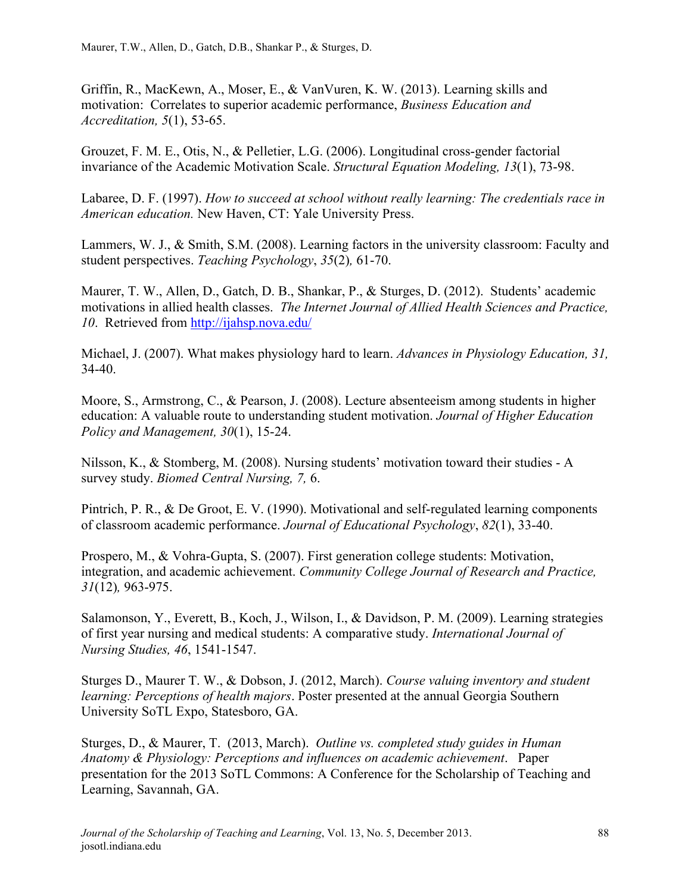Griffin, R., MacKewn, A., Moser, E., & VanVuren, K. W. (2013). Learning skills and motivation: Correlates to superior academic performance, *Business Education and Accreditation, 5*(1), 53-65.

Grouzet, F. M. E., Otis, N., & Pelletier, L.G. (2006). Longitudinal cross-gender factorial invariance of the Academic Motivation Scale. *Structural Equation Modeling, 13*(1), 73-98.

Labaree, D. F. (1997). *How to succeed at school without really learning: The credentials race in American education.* New Haven, CT: Yale University Press.

Lammers, W. J., & Smith, S.M. (2008). Learning factors in the university classroom: Faculty and student perspectives. *Teaching Psychology*, *35*(2)*,* 61-70.

Maurer, T. W., Allen, D., Gatch, D. B., Shankar, P., & Sturges, D. (2012). Students' academic motivations in allied health classes. *The Internet Journal of Allied Health Sciences and Practice, 10*. Retrieved from http://ijahsp.nova.edu/

Michael, J. (2007). What makes physiology hard to learn. *Advances in Physiology Education, 31,*  34-40.

Moore, S., Armstrong, C., & Pearson, J. (2008). Lecture absenteeism among students in higher education: A valuable route to understanding student motivation. *Journal of Higher Education Policy and Management, 30*(1), 15-24.

Nilsson, K., & Stomberg, M. (2008). Nursing students' motivation toward their studies - A survey study. *Biomed Central Nursing, 7,* 6.

Pintrich, P. R., & De Groot, E. V. (1990). Motivational and self-regulated learning components of classroom academic performance. *Journal of Educational Psychology*, *82*(1), 33-40.

Prospero, M., & Vohra-Gupta, S. (2007). First generation college students: Motivation, integration, and academic achievement. *Community College Journal of Research and Practice, 31*(12)*,* 963-975.

Salamonson, Y., Everett, B., Koch, J., Wilson, I., & Davidson, P. M. (2009). Learning strategies of first year nursing and medical students: A comparative study. *International Journal of Nursing Studies, 46*, 1541-1547.

Sturges D., Maurer T. W., & Dobson, J. (2012, March). *Course valuing inventory and student learning: Perceptions of health majors*. Poster presented at the annual Georgia Southern University SoTL Expo, Statesboro, GA.

Sturges, D., & Maurer, T. (2013, March). *Outline vs. completed study guides in Human Anatomy & Physiology: Perceptions and influences on academic achievement*. Paper presentation for the 2013 SoTL Commons: A Conference for the Scholarship of Teaching and Learning, Savannah, GA.